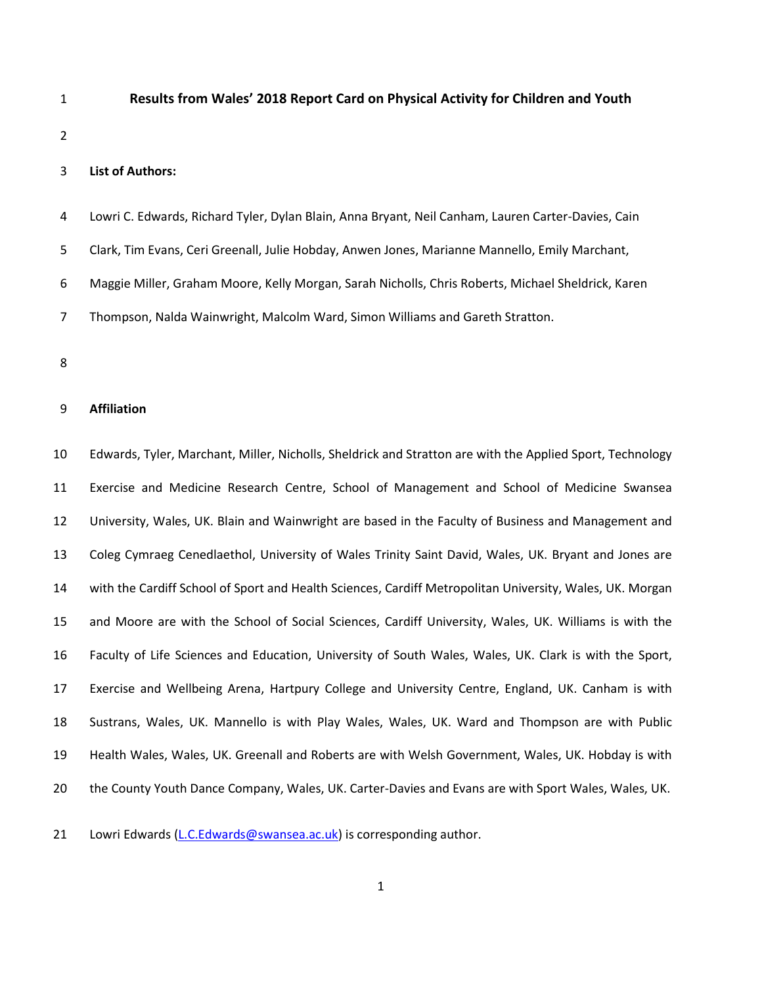# **Results from Wales' 2018 Report Card on Physical Activity for Children and Youth**

## **List of Authors:**

- Lowri C. Edwards, Richard Tyler, Dylan Blain, Anna Bryant, Neil Canham, Lauren Carter-Davies, Cain Clark, Tim Evans, Ceri Greenall, Julie Hobday, Anwen Jones, Marianne Mannello, Emily Marchant, Maggie Miller, Graham Moore, Kelly Morgan, Sarah Nicholls, Chris Roberts, Michael Sheldrick, Karen Thompson, Nalda Wainwright, Malcolm Ward, Simon Williams and Gareth Stratton.
- 

### **Affiliation**

 Edwards, Tyler, Marchant, Miller, Nicholls, Sheldrick and Stratton are with the Applied Sport, Technology Exercise and Medicine Research Centre, School of Management and School of Medicine Swansea University, Wales, UK. Blain and Wainwright are based in the Faculty of Business and Management and Coleg Cymraeg Cenedlaethol, University of Wales Trinity Saint David, Wales, UK. Bryant and Jones are with the Cardiff School of Sport and Health Sciences, Cardiff Metropolitan University, Wales, UK. Morgan and Moore are with the School of Social Sciences, Cardiff University, Wales, UK. Williams is with the Faculty of Life Sciences and Education, University of South Wales, Wales, UK. Clark is with the Sport, Exercise and Wellbeing Arena, Hartpury College and University Centre, England, UK. Canham is with Sustrans, Wales, UK. Mannello is with Play Wales, Wales, UK. Ward and Thompson are with Public Health Wales, Wales, UK. Greenall and Roberts are with Welsh Government, Wales, UK. Hobday is with the County Youth Dance Company, Wales, UK. Carter-Davies and Evans are with Sport Wales, Wales, UK.

21 Lowri Edwards [\(L.C.Edwards@swansea.ac.uk\)](mailto:L.C.Edwards@swansea.ac.uk) is corresponding author.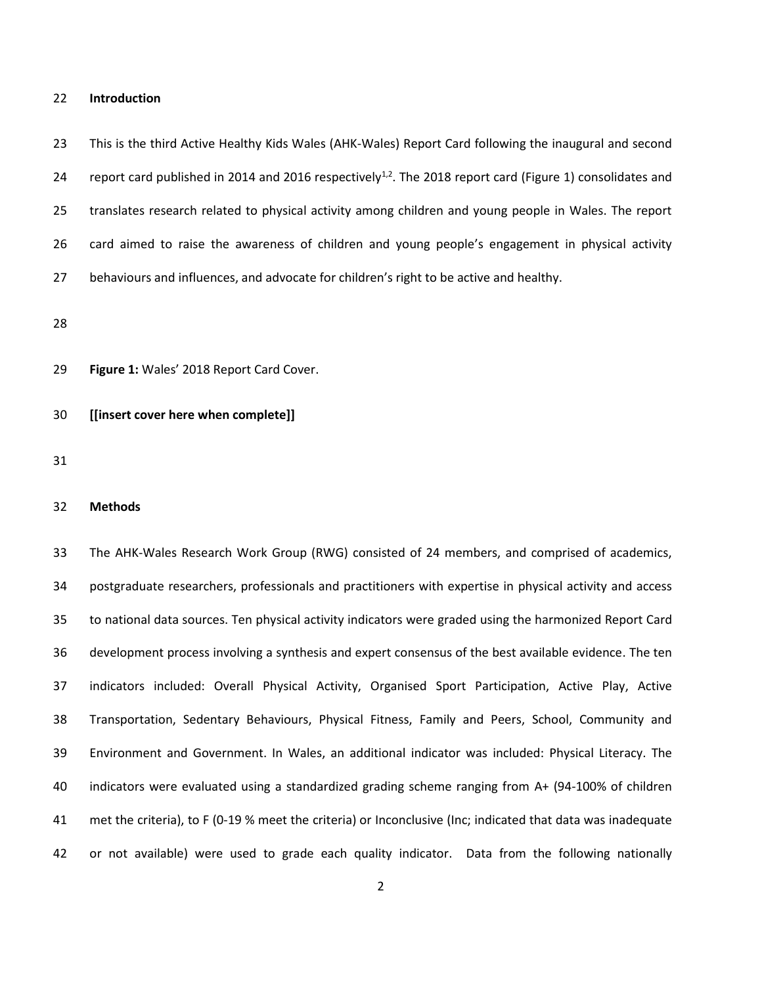#### **Introduction**

 This is the third Active Healthy Kids Wales (AHK-Wales) Report Card following the inaugural and second 24 report card published in 2014 and 2016 respectively<sup>1,2</sup>. The 2018 report card (Figure 1) consolidates and translates research related to physical activity among children and young people in Wales. The report card aimed to raise the awareness of children and young people's engagement in physical activity behaviours and influences, and advocate for children's right to be active and healthy.

**Figure 1:** Wales' 2018 Report Card Cover.

**[[insert cover here when complete]]**

### **Methods**

 The AHK-Wales Research Work Group (RWG) consisted of 24 members, and comprised of academics, postgraduate researchers, professionals and practitioners with expertise in physical activity and access to national data sources. Ten physical activity indicators were graded using the harmonized Report Card development process involving a synthesis and expert consensus of the best available evidence. The ten indicators included: Overall Physical Activity, Organised Sport Participation, Active Play, Active Transportation, Sedentary Behaviours, Physical Fitness, Family and Peers, School, Community and Environment and Government. In Wales, an additional indicator was included: Physical Literacy. The indicators were evaluated using a standardized grading scheme ranging from A+ (94-100% of children met the criteria), to F (0-19 % meet the criteria) or Inconclusive (Inc; indicated that data was inadequate or not available) were used to grade each quality indicator. Data from the following nationally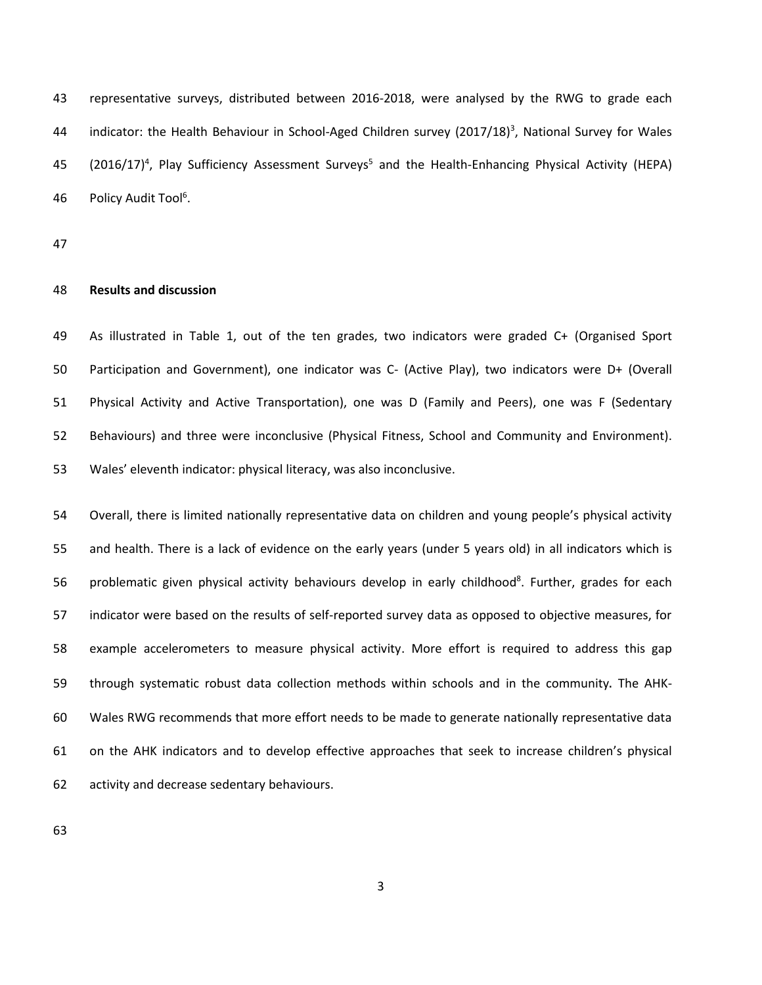representative surveys, distributed between 2016-2018, were analysed by the RWG to grade each 44 indicator: the Health Behaviour in School-Aged Children survey  $(2017/18)^3$ , National Survey for Wales 45 (2016/17)<sup>4</sup>, Play Sufficiency Assessment Surveys<sup>5</sup> and the Health-Enhancing Physical Activity (HEPA) 46 Policy Audit Tool<sup>6</sup>.

### **Results and discussion**

 As illustrated in Table 1, out of the ten grades, two indicators were graded C+ (Organised Sport Participation and Government), one indicator was C- (Active Play), two indicators were D+ (Overall Physical Activity and Active Transportation), one was D (Family and Peers), one was F (Sedentary Behaviours) and three were inconclusive (Physical Fitness, School and Community and Environment). Wales' eleventh indicator: physical literacy, was also inconclusive.

 Overall, there is limited nationally representative data on children and young people's physical activity and health. There is a lack of evidence on the early years (under 5 years old) in all indicators which is 56 problematic given physical activity behaviours develop in early childhood<sup>8</sup>. Further, grades for each indicator were based on the results of self-reported survey data as opposed to objective measures, for example accelerometers to measure physical activity. More effort is required to address this gap through systematic robust data collection methods within schools and in the community. The AHK- Wales RWG recommends that more effort needs to be made to generate nationally representative data on the AHK indicators and to develop effective approaches that seek to increase children's physical activity and decrease sedentary behaviours.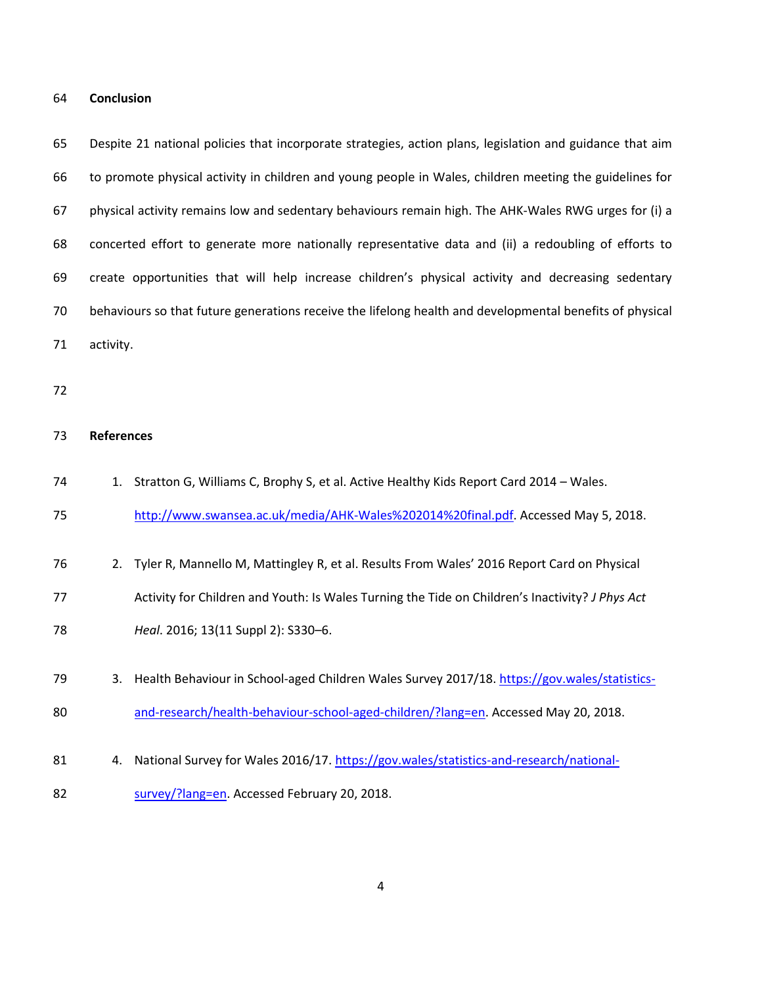#### **Conclusion**

 Despite 21 national policies that incorporate strategies, action plans, legislation and guidance that aim to promote physical activity in children and young people in Wales, children meeting the guidelines for physical activity remains low and sedentary behaviours remain high. The AHK-Wales RWG urges for (i) a concerted effort to generate more nationally representative data and (ii) a redoubling of efforts to create opportunities that will help increase children's physical activity and decreasing sedentary behaviours so that future generations receive the lifelong health and developmental benefits of physical activity.

### **References**

- 74 1. Stratton G, Williams C, Brophy S, et al. Active Healthy Kids Report Card 2014 Wales.
- [http://www.swansea.ac.uk/media/AHK-Wales%202014%20final.pdf.](http://www.swansea.ac.uk/media/AHK-Wales%202014%20final.pdf) Accessed May 5, 2018.
- 2. Tyler R, Mannello M, Mattingley R, et al. Results From Wales' 2016 Report Card on Physical Activity for Children and Youth: Is Wales Turning the Tide on Children's Inactivity? *J Phys Act Heal*. 2016; 13(11 Suppl 2): S330–6.
- 3. Health Behaviour in School-aged Children Wales Survey 2017/18. [https://gov.wales/statistics-](https://gov.wales/statistics-and-research/health-behaviour-school-aged-children/?lang=en)[and-research/health-behaviour-school-aged-children/?lang=en.](https://gov.wales/statistics-and-research/health-behaviour-school-aged-children/?lang=en) Accessed May 20, 2018.
- 4. National Survey for Wales 2016/17. [https://gov.wales/statistics-and-research/national-](https://gov.wales/statistics-and-research/national-survey/?lang=en)
- [survey/?lang=en.](https://gov.wales/statistics-and-research/national-survey/?lang=en) Accessed February 20, 2018.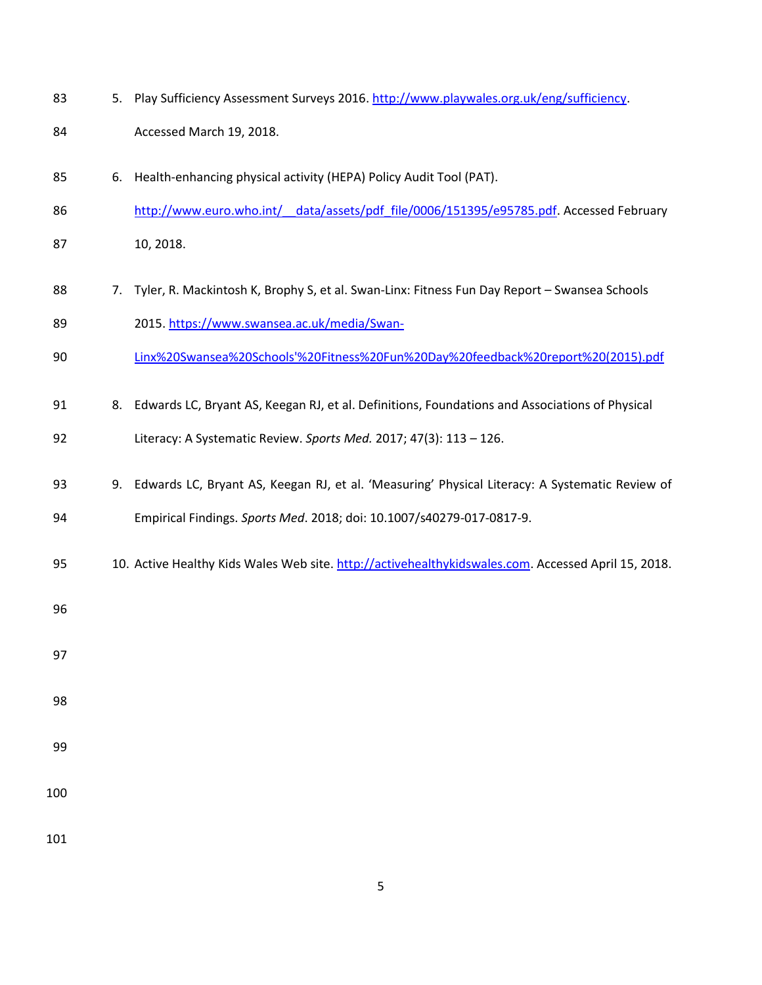- 83 5. Play Sufficiency Assessment Surveys 2016. [http://www.playwales.org.uk/eng/sufficiency.](http://www.playwales.org.uk/eng/sufficiency)
- Accessed March 19, 2018.
- 6. Health-enhancing physical activity (HEPA) Policy Audit Tool (PAT).
- 86 http://www.euro.who.int/ data/assets/pdf file/0006/151395/e95785.pdf. Accessed February
- 10, 2018.
- 88 7. Tyler, R. Mackintosh K, Brophy S, et al. Swan-Linx: Fitness Fun Day Report Swansea Schools 2015[. https://www.swansea.ac.uk/media/Swan-](https://www.swansea.ac.uk/media/Swan-Linx%20Swansea%20Schools)
- [Linx%20Swansea%20Schools'%20Fitness%20Fun%20Day%20feedback%20report%20\(2015\).pdf](https://www.swansea.ac.uk/media/Swan-Linx%20Swansea%20Schools)
- 8. Edwards LC, Bryant AS, Keegan RJ, et al. Definitions, Foundations and Associations of Physical
- Literacy: A Systematic Review. *Sports Med.* 2017; 47(3): 113 126.
- 9. Edwards LC, Bryant AS, Keegan RJ, et al. 'Measuring' Physical Literacy: A Systematic Review of Empirical Findings. *Sports Med*. 2018; doi: 10.1007/s40279-017-0817-9.
- 95 10. Active Healthy Kids Wales Web site[. http://activehealthykidswales.com.](http://activehealthykidswales.com/) Accessed April 15, 2018.
- 
- 
- 
- 
- 
- 
-